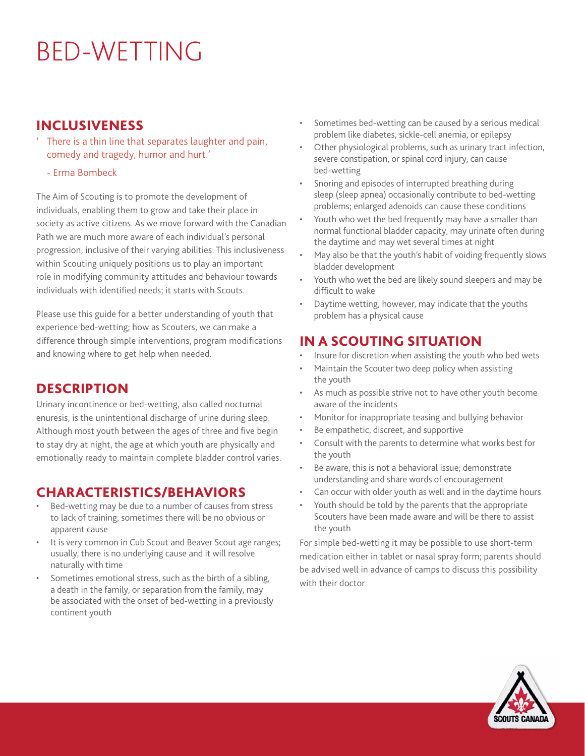# BED-WETTING

#### INCLUSIVENESS

- There is a thin line that separates laughter and pain, comedy and tragedy, humor and hurt.'
	- Erma Bombeck

The Aim of Scouting is to promote the development of individuals, enabling them to grow and take their place in society as active citizens. As we move forward with the Canadian Path we are much more aware of each individual's personal progression, inclusive of their varying abilities. This inclusiveness within Scouting uniquely positions us to play an important role in modifying community attitudes and behaviour towards individuals with identified needs; it starts with Scouts.

Please use this guide for a better understanding of youth that experience bed-wetting; how as Scouters, we can make a difference through simple interventions, program modifications and knowing where to get help when needed.

#### **DESCRIPTION**

Urinary incontinence or bed-wetting, also called nocturnal enuresis, is the unintentional discharge of urine during sleep. Although most youth between the ages of three and five begin to stay dry at night, the age at which youth are physically and emotionally ready to maintain complete bladder control varies.

#### CHARACTERISTICS/BEHAVIORS

- Bed-wetting may be due to a number of causes from stress to lack of training; sometimes there will be no obvious or apparent cause
- It is very common in Cub Scout and Beaver Scout age ranges; usually, there is no underlying cause and it will resolve naturally with time
- Sometimes emotional stress, such as the birth of a sibling, a death in the family, or separation from the family, may be associated with the onset of bed-wetting in a previously continent youth
- Sometimes bed-wetting can be caused by a serious medical problem like diabetes, sickle-cell anemia, or epilepsy
- Other physiological problems, such as urinary tract infection, severe constipation, or spinal cord injury, can cause bed-wetting
- Snoring and episodes of interrupted breathing during sleep (sleep apnea) occasionally contribute to bed-wetting problems; enlarged adenoids can cause these conditions
- Youth who wet the bed frequently may have a smaller than normal functional bladder capacity, may urinate often during the daytime and may wet several times at night
- May also be that the youth's habit of voiding frequently slows bladder development
- Youth who wet the bed are likely sound sleepers and may be difficult to wake
- Daytime wetting, however, may indicate that the youths problem has a physical cause

#### IN A SCOUTING SITUATION

- Insure for discretion when assisting the youth who bed wets
- Maintain the Scouter two deep policy when assisting the youth
- As much as possible strive not to have other youth become aware of the incidents
- Monitor for inappropriate teasing and bullying behavior
- Be empathetic, discreet, and supportive
- Consult with the parents to determine what works best for the youth
- Be aware, this is not a behavioral issue; demonstrate understanding and share words of encouragement
- Can occur with older youth as well and in the daytime hours
- Youth should be told by the parents that the appropriate Scouters have been made aware and will be there to assist the youth

For simple bed-wetting it may be possible to use short-term medication either in tablet or nasal spray form; parents should be advised well in advance of camps to discuss this possibility with their doctor